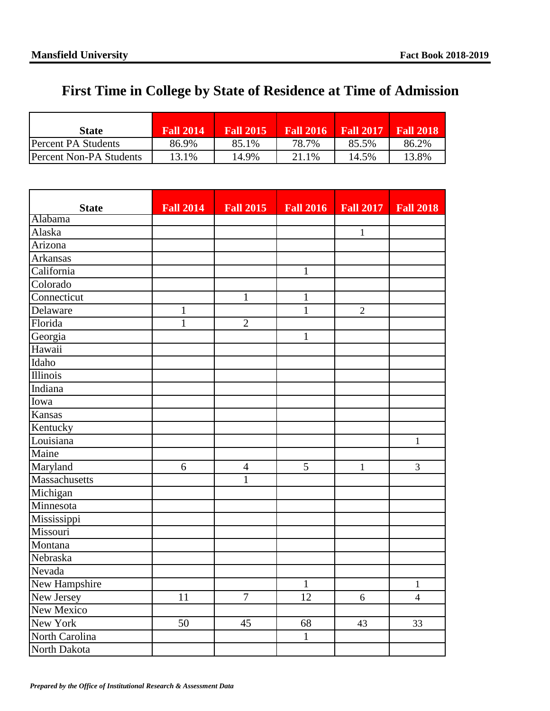## **First Time in College by State of Residence at Time of Admission**

| State                   | <b>Fall 2014</b> | <b>Fall 2015</b> | <b>Fall 2016</b> | <b>Fall 2017</b> | <b>Fall 2018</b> |
|-------------------------|------------------|------------------|------------------|------------------|------------------|
| IPercent PA Students    | 86.9%            | 85.1%            | 78.7%            | 85.5%            | 86.2%            |
| Percent Non-PA Students | 13.1%            | 14.9%            | 21.1%            | 14.5%            | 13.8%            |

| <b>State</b>      | <b>Fall 2014</b> | <b>Fall 2015</b> | <b>Fall 2016</b> | <b>Fall 2017</b> | <b>Fall 2018</b> |
|-------------------|------------------|------------------|------------------|------------------|------------------|
| Alabama           |                  |                  |                  |                  |                  |
| Alaska            |                  |                  |                  | $\mathbf{1}$     |                  |
| Arizona           |                  |                  |                  |                  |                  |
| <b>Arkansas</b>   |                  |                  |                  |                  |                  |
| California        |                  |                  | $\mathbf{1}$     |                  |                  |
| Colorado          |                  |                  |                  |                  |                  |
| Connecticut       |                  | $\mathbf{1}$     | $\mathbf{1}$     |                  |                  |
| Delaware          | $\mathbf{1}$     |                  | $\mathbf{1}$     | $\overline{2}$   |                  |
| Florida           | $\mathbf{1}$     | $\overline{2}$   |                  |                  |                  |
| Georgia           |                  |                  | $\mathbf{1}$     |                  |                  |
| Hawaii            |                  |                  |                  |                  |                  |
| Idaho             |                  |                  |                  |                  |                  |
| Illinois          |                  |                  |                  |                  |                  |
| Indiana           |                  |                  |                  |                  |                  |
| Iowa              |                  |                  |                  |                  |                  |
| Kansas            |                  |                  |                  |                  |                  |
| Kentucky          |                  |                  |                  |                  |                  |
| Louisiana         |                  |                  |                  |                  | $\mathbf{1}$     |
| Maine             |                  |                  |                  |                  |                  |
| Maryland          | 6                | $\overline{4}$   | $\overline{5}$   | $\mathbf{1}$     | 3                |
| Massachusetts     |                  | $\mathbf{1}$     |                  |                  |                  |
| Michigan          |                  |                  |                  |                  |                  |
| Minnesota         |                  |                  |                  |                  |                  |
| Mississippi       |                  |                  |                  |                  |                  |
| Missouri          |                  |                  |                  |                  |                  |
| Montana           |                  |                  |                  |                  |                  |
| Nebraska          |                  |                  |                  |                  |                  |
| Nevada            |                  |                  |                  |                  |                  |
| New Hampshire     |                  |                  | $\mathbf{1}$     |                  | $\mathbf{1}$     |
| New Jersey        | 11               | $\boldsymbol{7}$ | 12               | 6                | $\overline{4}$   |
| <b>New Mexico</b> |                  |                  |                  |                  |                  |
| New York          | 50               | 45               | 68               | 43               | 33               |
| North Carolina    |                  |                  | $\mathbf{1}$     |                  |                  |
| North Dakota      |                  |                  |                  |                  |                  |